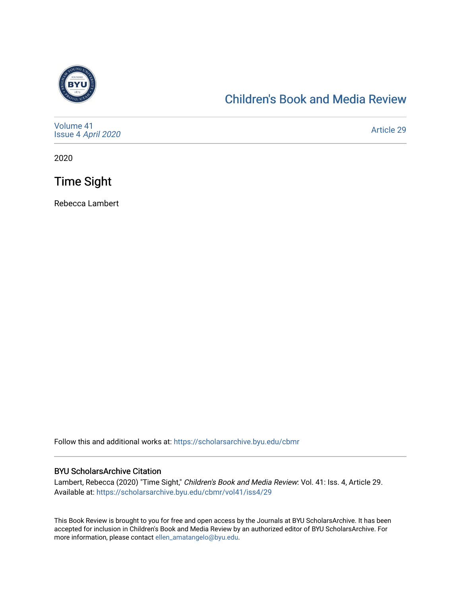

## [Children's Book and Media Review](https://scholarsarchive.byu.edu/cbmr)

| Volume 41<br>Issue 4 April 2020 | <b>Article 29</b> |
|---------------------------------|-------------------|
|---------------------------------|-------------------|

2020

Time Sight

Rebecca Lambert

Follow this and additional works at: [https://scholarsarchive.byu.edu/cbmr](https://scholarsarchive.byu.edu/cbmr?utm_source=scholarsarchive.byu.edu%2Fcbmr%2Fvol41%2Fiss4%2F29&utm_medium=PDF&utm_campaign=PDFCoverPages) 

## BYU ScholarsArchive Citation

Lambert, Rebecca (2020) "Time Sight," Children's Book and Media Review: Vol. 41: Iss. 4, Article 29. Available at: [https://scholarsarchive.byu.edu/cbmr/vol41/iss4/29](https://scholarsarchive.byu.edu/cbmr/vol41/iss4/29?utm_source=scholarsarchive.byu.edu%2Fcbmr%2Fvol41%2Fiss4%2F29&utm_medium=PDF&utm_campaign=PDFCoverPages)

This Book Review is brought to you for free and open access by the Journals at BYU ScholarsArchive. It has been accepted for inclusion in Children's Book and Media Review by an authorized editor of BYU ScholarsArchive. For more information, please contact [ellen\\_amatangelo@byu.edu.](mailto:ellen_amatangelo@byu.edu)